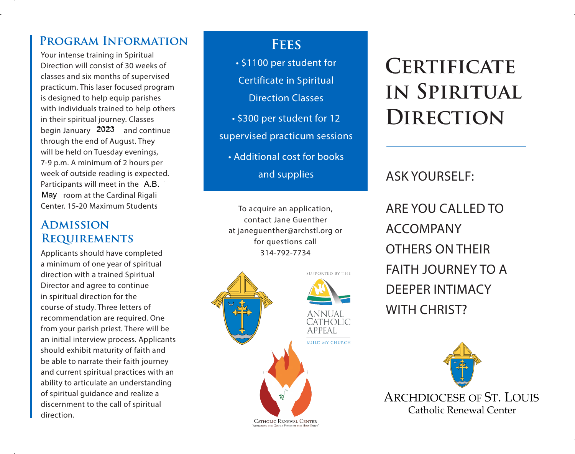## **Program Information**

Your intense training in Spiritual Direction will consist of 30 weeks of classes and six months of supervised practicum. This laser focused program is designed to help equip parishes with individuals trained to help others in their spiritual journey. Classes begin January 2023  $\rightarrow$  and continue through the end of August. They will be held on Tuesday evenings, 7-9 p.m. A minimum of 2 hours per week of outside reading is expected. Participants will meet in the A.B. May room at the Cardinal Rigali Center. 15-20 Maximum Students

### **Admission Requirements**

Applicants should have completed a minimum of one year of spiritual direction with a trained Spiritual Director and agree to continue in spiritual direction for the course of study. Three letters of recommendation are required. One from your parish priest. There will be an initial interview process. Applicants should exhibit maturity of faith and be able to narrate their faith journey and current spiritual practices with an ability to articulate an understanding of spiritual guidance and realize a discernment to the call of spiritual direction.

## **Fees**

• \$1100 per student for Certificate in Spiritual Direction Classes • \$300 per student for 12 supervised practicum sessions • Additional cost for books and supplies

To acquire an application, contact Jane Guenther at janeguenther@archstl.org or for questions call 314-792-7734



# **Certificate in Spiritual Direction**

## ASK YOURSELF:

ARE YOU CALLED TO ACCOMPANY OTHERS ON THEIR FAITH JOURNEY TO A DEEPER INTIMACY WITH CHRIST?